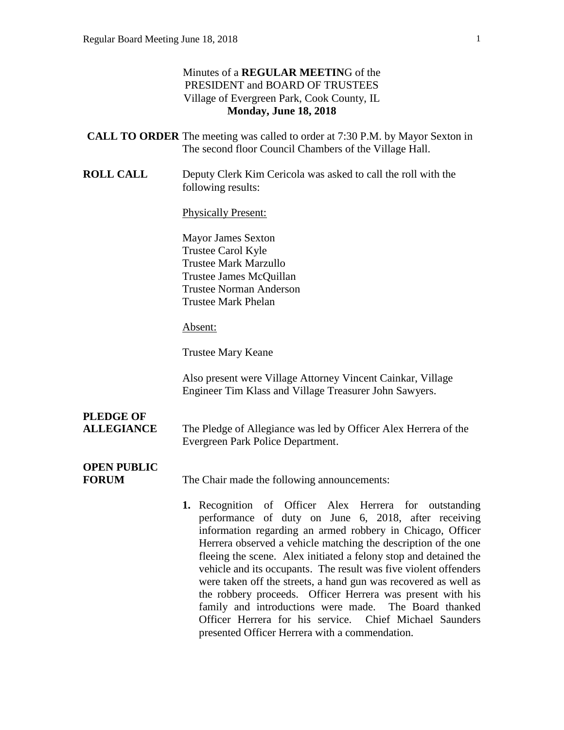#### Minutes of a **REGULAR MEETIN**G of the PRESIDENT and BOARD OF TRUSTEES Village of Evergreen Park, Cook County, IL **Monday, June 18, 2018**

- **CALL TO ORDER** The meeting was called to order at 7:30 P.M. by Mayor Sexton in The second floor Council Chambers of the Village Hall.
- **ROLL CALL** Deputy Clerk Kim Cericola was asked to call the roll with the following results:

Physically Present:

Mayor James Sexton Trustee Carol Kyle Trustee Mark Marzullo Trustee James McQuillan Trustee Norman Anderson Trustee Mark Phelan

#### Absent:

Trustee Mary Keane

Also present were Village Attorney Vincent Cainkar, Village Engineer Tim Klass and Village Treasurer John Sawyers.

# **PLEDGE OF**

**ALLEGIANCE** The Pledge of Allegiance was led by Officer Alex Herrera of the Evergreen Park Police Department.

## **OPEN PUBLIC**

**FORUM** The Chair made the following announcements:

**1.** Recognition of Officer Alex Herrera for outstanding performance of duty on June 6, 2018, after receiving information regarding an armed robbery in Chicago, Officer Herrera observed a vehicle matching the description of the one fleeing the scene. Alex initiated a felony stop and detained the vehicle and its occupants. The result was five violent offenders were taken off the streets, a hand gun was recovered as well as the robbery proceeds. Officer Herrera was present with his family and introductions were made. The Board thanked Officer Herrera for his service. Chief Michael Saunders presented Officer Herrera with a commendation.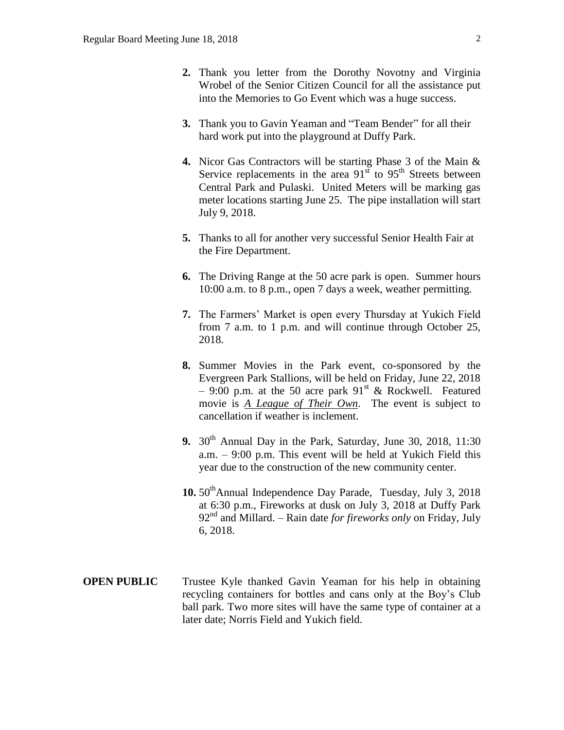- **2.** Thank you letter from the Dorothy Novotny and Virginia Wrobel of the Senior Citizen Council for all the assistance put into the Memories to Go Event which was a huge success.
- **3.** Thank you to Gavin Yeaman and "Team Bender" for all their hard work put into the playground at Duffy Park.
- **4.** Nicor Gas Contractors will be starting Phase 3 of the Main & Service replacements in the area  $91<sup>st</sup>$  to  $95<sup>th</sup>$  Streets between Central Park and Pulaski. United Meters will be marking gas meter locations starting June 25. The pipe installation will start July 9, 2018.
- **5.** Thanks to all for another very successful Senior Health Fair at the Fire Department.
- **6.** The Driving Range at the 50 acre park is open. Summer hours 10:00 a.m. to 8 p.m., open 7 days a week, weather permitting.
- **7.** The Farmers' Market is open every Thursday at Yukich Field from 7 a.m. to 1 p.m. and will continue through October 25, 2018.
- **8.** Summer Movies in the Park event, co-sponsored by the Evergreen Park Stallions, will be held on Friday, June 22, 2018 – 9:00 p.m. at the 50 acre park  $91<sup>st</sup>$  & Rockwell. Featured movie is *A League of Their Own*. The event is subject to cancellation if weather is inclement.
- **9.**  $30<sup>th</sup>$  Annual Day in the Park, Saturday, June 30, 2018, 11:30 a.m. – 9:00 p.m. This event will be held at Yukich Field this year due to the construction of the new community center.
- 10. 50<sup>th</sup>Annual Independence Day Parade, Tuesday, July 3, 2018 at 6:30 p.m., Fireworks at dusk on July 3, 2018 at Duffy Park 92nd and Millard. – Rain date *for fireworks only* on Friday, July 6, 2018.
- **OPEN PUBLIC** Trustee Kyle thanked Gavin Yeaman for his help in obtaining recycling containers for bottles and cans only at the Boy's Club ball park. Two more sites will have the same type of container at a later date; Norris Field and Yukich field.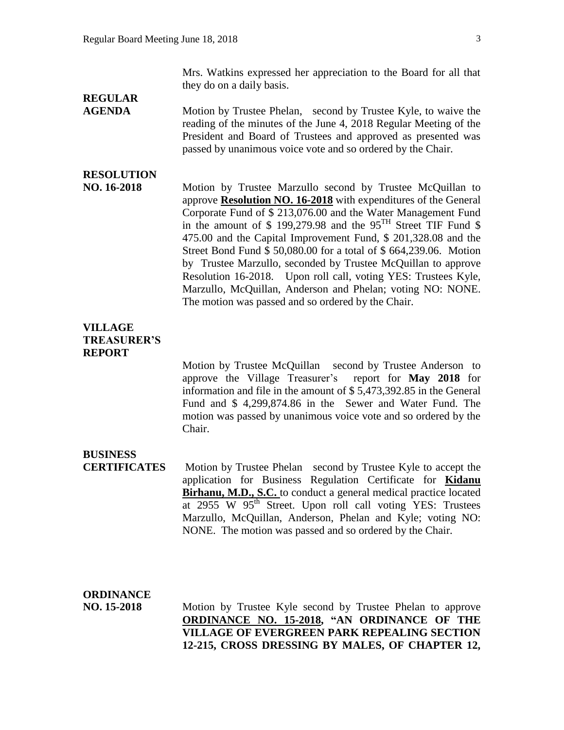Mrs. Watkins expressed her appreciation to the Board for all that they do on a daily basis.

# **REGULAR**

**AGENDA** Motion by Trustee Phelan, second by Trustee Kyle, to waive the reading of the minutes of the June 4, 2018 Regular Meeting of the President and Board of Trustees and approved as presented was passed by unanimous voice vote and so ordered by the Chair.

## **RESOLUTION**

**NO. 16-2018** Motion by Trustee Marzullo second by Trustee McQuillan to approve **Resolution NO. 16-2018** with expenditures of the General Corporate Fund of \$ 213,076.00 and the Water Management Fund in the amount of \$ 199,279.98 and the 95TH Street TIF Fund \$ 475.00 and the Capital Improvement Fund, \$ 201,328.08 and the Street Bond Fund \$ 50,080.00 for a total of \$ 664,239.06. Motion by Trustee Marzullo, seconded by Trustee McQuillan to approve Resolution 16-2018. Upon roll call, voting YES: Trustees Kyle, Marzullo, McQuillan, Anderson and Phelan; voting NO: NONE. The motion was passed and so ordered by the Chair.

#### **VILLAGE TREASURER'S REPORT**

Motion by Trustee McQuillan second by Trustee Anderson to approve the Village Treasurer's report for **May 2018** for information and file in the amount of \$ 5,473,392.85 in the General Fund and \$ 4,299,874.86 in the Sewer and Water Fund. The motion was passed by unanimous voice vote and so ordered by the Chair.

#### **BUSINESS**

**CERTIFICATES** Motion by Trustee Phelan second by Trustee Kyle to accept the application for Business Regulation Certificate for **Kidanu Birhanu, M.D., S.C.** to conduct a general medical practice located at  $2955$  W  $95<sup>th</sup>$  Street. Upon roll call voting YES: Trustees Marzullo, McQuillan, Anderson, Phelan and Kyle; voting NO: NONE. The motion was passed and so ordered by the Chair.

## **ORDINANCE**

**NO. 15-2018** Motion by Trustee Kyle second by Trustee Phelan to approve **ORDINANCE NO. 15-2018, "AN ORDINANCE OF THE VILLAGE OF EVERGREEN PARK REPEALING SECTION 12-215, CROSS DRESSING BY MALES, OF CHAPTER 12,**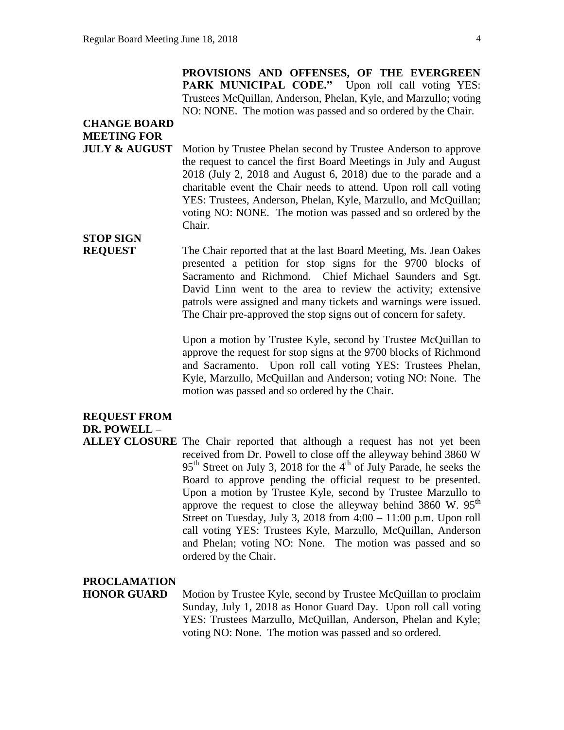**PROVISIONS AND OFFENSES, OF THE EVERGREEN**  PARK MUNICIPAL CODE." Upon roll call voting YES: Trustees McQuillan, Anderson, Phelan, Kyle, and Marzullo; voting NO: NONE. The motion was passed and so ordered by the Chair.

## **CHANGE BOARD MEETING FOR**

**JULY & AUGUST** Motion by Trustee Phelan second by Trustee Anderson to approve the request to cancel the first Board Meetings in July and August 2018 (July 2, 2018 and August 6, 2018) due to the parade and a charitable event the Chair needs to attend. Upon roll call voting YES: Trustees, Anderson, Phelan, Kyle, Marzullo, and McQuillan; voting NO: NONE. The motion was passed and so ordered by the Chair.

# **STOP SIGN**

**REQUEST** The Chair reported that at the last Board Meeting, Ms. Jean Oakes presented a petition for stop signs for the 9700 blocks of Sacramento and Richmond. Chief Michael Saunders and Sgt. David Linn went to the area to review the activity; extensive patrols were assigned and many tickets and warnings were issued. The Chair pre-approved the stop signs out of concern for safety.

> Upon a motion by Trustee Kyle, second by Trustee McQuillan to approve the request for stop signs at the 9700 blocks of Richmond and Sacramento. Upon roll call voting YES: Trustees Phelan, Kyle, Marzullo, McQuillan and Anderson; voting NO: None. The motion was passed and so ordered by the Chair.

### **REQUEST FROM DR. POWELL –**

**ALLEY CLOSURE** The Chair reported that although a request has not yet been received from Dr. Powell to close off the alleyway behind 3860 W  $95<sup>th</sup>$  Street on July 3, 2018 for the 4<sup>th</sup> of July Parade, he seeks the Board to approve pending the official request to be presented. Upon a motion by Trustee Kyle, second by Trustee Marzullo to approve the request to close the alleyway behind  $3860 \text{ W}$ .  $95^{\text{th}}$ Street on Tuesday, July 3, 2018 from  $4:00 - 11:00$  p.m. Upon roll call voting YES: Trustees Kyle, Marzullo, McQuillan, Anderson and Phelan; voting NO: None. The motion was passed and so ordered by the Chair.

#### **PROCLAMATION**

**HONOR GUARD** Motion by Trustee Kyle, second by Trustee McQuillan to proclaim Sunday, July 1, 2018 as Honor Guard Day. Upon roll call voting YES: Trustees Marzullo, McQuillan, Anderson, Phelan and Kyle; voting NO: None. The motion was passed and so ordered.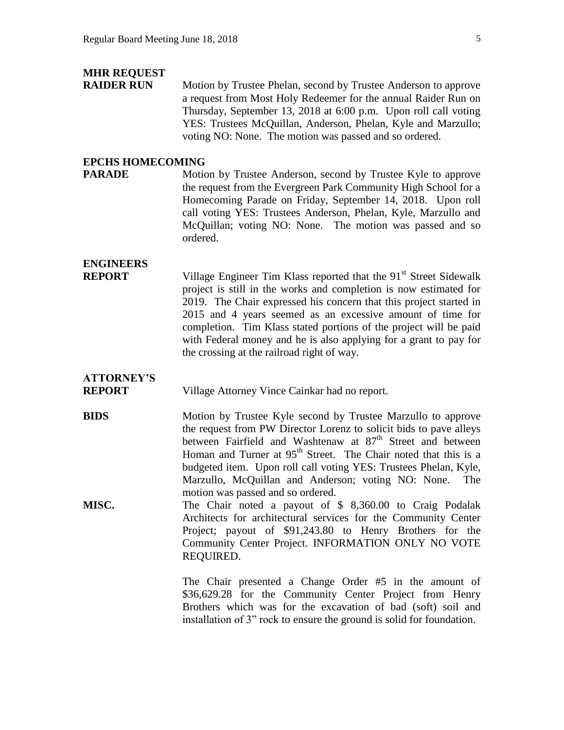### **MHR REQUEST**

**RAIDER RUN** Motion by Trustee Phelan, second by Trustee Anderson to approve a request from Most Holy Redeemer for the annual Raider Run on Thursday, September 13, 2018 at 6:00 p.m. Upon roll call voting YES: Trustees McQuillan, Anderson, Phelan, Kyle and Marzullo; voting NO: None. The motion was passed and so ordered.

#### **EPCHS HOMECOMING**

**PARADE** Motion by Trustee Anderson, second by Trustee Kyle to approve the request from the Evergreen Park Community High School for a Homecoming Parade on Friday, September 14, 2018. Upon roll call voting YES: Trustees Anderson, Phelan, Kyle, Marzullo and McQuillan; voting NO: None. The motion was passed and so ordered.

## **ENGINEERS**

**REPORT** Village Engineer Tim Klass reported that the 91<sup>st</sup> Street Sidewalk project is still in the works and completion is now estimated for 2019. The Chair expressed his concern that this project started in 2015 and 4 years seemed as an excessive amount of time for completion. Tim Klass stated portions of the project will be paid with Federal money and he is also applying for a grant to pay for the crossing at the railroad right of way.

## **ATTORNEY'S**

**REPORT** Village Attorney Vince Cainkar had no report.

**BIDS** Motion by Trustee Kyle second by Trustee Marzullo to approve the request from PW Director Lorenz to solicit bids to pave alleys between Fairfield and Washtenaw at 87<sup>th</sup> Street and between Homan and Turner at  $95<sup>th</sup>$  Street. The Chair noted that this is a budgeted item. Upon roll call voting YES: Trustees Phelan, Kyle, Marzullo, McQuillan and Anderson; voting NO: None. The motion was passed and so ordered.

**MISC.** The Chair noted a payout of \$ 8,360.00 to Craig Podalak Architects for architectural services for the Community Center Project; payout of \$91,243.80 to Henry Brothers for the Community Center Project. INFORMATION ONLY NO VOTE REQUIRED.

> The Chair presented a Change Order #5 in the amount of \$36,629.28 for the Community Center Project from Henry Brothers which was for the excavation of bad (soft) soil and installation of 3" rock to ensure the ground is solid for foundation.